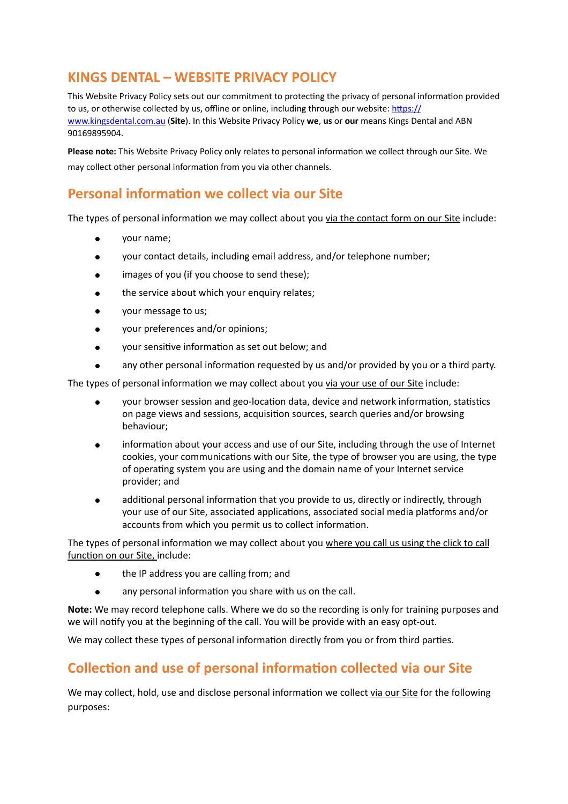# **KINGS DENTAL – WEBSITE PRIVACY POLICY**

This Website Privacy Policy sets out our commitment to protecting the privacy of personal information provided to us, or otherwise collected by us, offline or online, including through our website: https:// [www.kingsdental.com.au](https://www.kingsdental.com.au) (Site). In this Website Privacy Policy we, us or our means Kings Dental and ABN 90169895904. 

Please note: This Website Privacy Policy only relates to personal information we collect through our Site. We may collect other personal information from you via other channels.

# **Personal information we collect via our Site**

The types of personal information we may collect about you via the contact form on our Site include:

- vour name:
- your contact details, including email address, and/or telephone number;
- images of you (if you choose to send these);
- the service about which your enquiry relates;
- your message to us;
- your preferences and/or opinions;
- your sensitive information as set out below; and
- any other personal information requested by us and/or provided by you or a third party.

The types of personal information we may collect about you via your use of our Site include:

- your browser session and geo-location data, device and network information, statistics on page views and sessions, acquisition sources, search queries and/or browsing behaviour;
- information about your access and use of our Site, including through the use of Internet cookies, your communications with our Site, the type of browser you are using, the type of operating system you are using and the domain name of your Internet service provider; and
- additional personal information that you provide to us, directly or indirectly, through your use of our Site, associated applications, associated social media platforms and/or accounts from which you permit us to collect information.

The types of personal information we may collect about you where you call us using the click to call function on our Site, include:

- the IP address you are calling from; and
- any personal information you share with us on the call.

**Note:** We may record telephone calls. Where we do so the recording is only for training purposes and we will notify you at the beginning of the call. You will be provide with an easy opt-out.

We may collect these types of personal information directly from you or from third parties.

# **Collection and use of personal information collected via our Site**

We may collect, hold, use and disclose personal information we collect via our Site for the following purposes: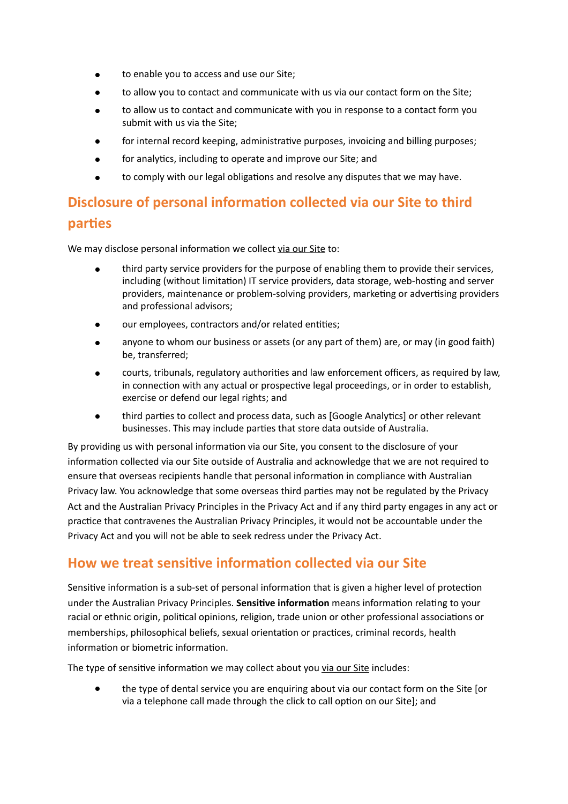- to enable you to access and use our Site;
- to allow you to contact and communicate with us via our contact form on the Site:
- to allow us to contact and communicate with you in response to a contact form you submit with us via the Site;
- for internal record keeping, administrative purposes, invoicing and billing purposes;
- for analytics, including to operate and improve our Site; and
- to comply with our legal obligations and resolve any disputes that we may have.

# **Disclosure of personal information collected via our Site to third parties**

We may disclose personal information we collect via our Site to:

- third party service providers for the purpose of enabling them to provide their services, including (without limitation) IT service providers, data storage, web-hosting and server providers, maintenance or problem-solving providers, marketing or advertising providers and professional advisors;
- our employees, contractors and/or related entities;
- anyone to whom our business or assets (or any part of them) are, or may (in good faith) be, transferred;
- courts, tribunals, regulatory authorities and law enforcement officers, as required by law, in connection with any actual or prospective legal proceedings, or in order to establish, exercise or defend our legal rights; and
- third parties to collect and process data, such as [Google Analytics] or other relevant businesses. This may include parties that store data outside of Australia.

By providing us with personal information via our Site, you consent to the disclosure of your information collected via our Site outside of Australia and acknowledge that we are not required to ensure that overseas recipients handle that personal information in compliance with Australian Privacy law. You acknowledge that some overseas third parties may not be regulated by the Privacy Act and the Australian Privacy Principles in the Privacy Act and if any third party engages in any act or practice that contravenes the Australian Privacy Principles, it would not be accountable under the Privacy Act and you will not be able to seek redress under the Privacy Act.

### How we treat sensitive information collected via our Site

Sensitive information is a sub-set of personal information that is given a higher level of protection under the Australian Privacy Principles. **Sensitive information** means information relating to your racial or ethnic origin, political opinions, religion, trade union or other professional associations or memberships, philosophical beliefs, sexual orientation or practices, criminal records, health information or biometric information.

The type of sensitive information we may collect about you via our Site includes:

the type of dental service you are enquiring about via our contact form on the Site [or via a telephone call made through the click to call option on our Site]; and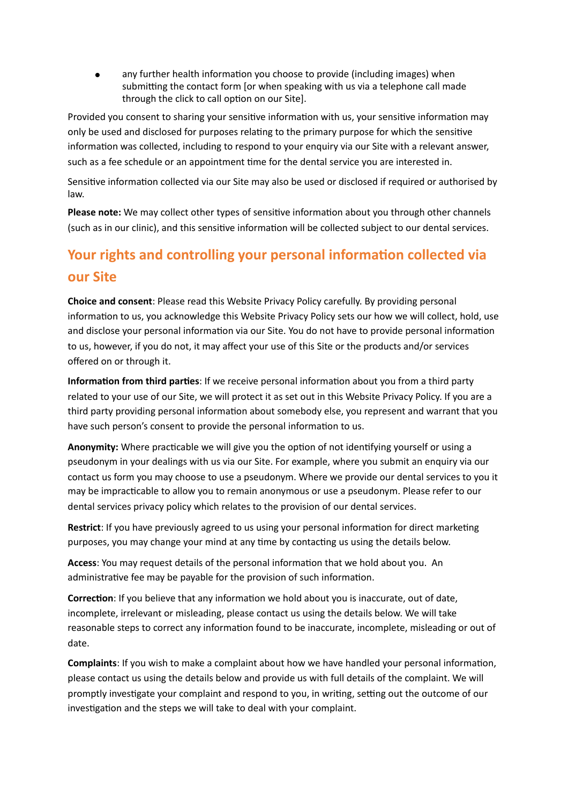any further health information you choose to provide (including images) when submitting the contact form [or when speaking with us via a telephone call made through the click to call option on our Site].

Provided you consent to sharing your sensitive information with us, your sensitive information may only be used and disclosed for purposes relating to the primary purpose for which the sensitive information was collected, including to respond to your enquiry via our Site with a relevant answer, such as a fee schedule or an appointment time for the dental service you are interested in.

Sensitive information collected via our Site may also be used or disclosed if required or authorised by law. 

**Please note:** We may collect other types of sensitive information about you through other channels (such as in our clinic), and this sensitive information will be collected subject to our dental services.

# **Your rights and controlling your personal information collected via our Site**

**Choice and consent:** Please read this Website Privacy Policy carefully. By providing personal information to us, you acknowledge this Website Privacy Policy sets our how we will collect, hold, use and disclose your personal information via our Site. You do not have to provide personal information to us, however, if you do not, it may affect your use of this Site or the products and/or services offered on or through it.

**Information from third parties**: If we receive personal information about you from a third party related to your use of our Site, we will protect it as set out in this Website Privacy Policy. If you are a third party providing personal information about somebody else, you represent and warrant that you have such person's consent to provide the personal information to us.

Anonymity: Where practicable we will give you the option of not identifying yourself or using a pseudonym in your dealings with us via our Site. For example, where you submit an enquiry via our contact us form you may choose to use a pseudonym. Where we provide our dental services to you it may be impracticable to allow you to remain anonymous or use a pseudonym. Please refer to our dental services privacy policy which relates to the provision of our dental services.

**Restrict**: If you have previously agreed to us using your personal information for direct marketing purposes, you may change your mind at any time by contacting us using the details below.

**Access:** You may request details of the personal information that we hold about you. An administrative fee may be payable for the provision of such information.

**Correction**: If you believe that any information we hold about you is inaccurate, out of date, incomplete, irrelevant or misleading, please contact us using the details below. We will take reasonable steps to correct any information found to be inaccurate, incomplete, misleading or out of date. 

**Complaints**: If you wish to make a complaint about how we have handled your personal information, please contact us using the details below and provide us with full details of the complaint. We will promptly investigate your complaint and respond to you, in writing, setting out the outcome of our investigation and the steps we will take to deal with your complaint.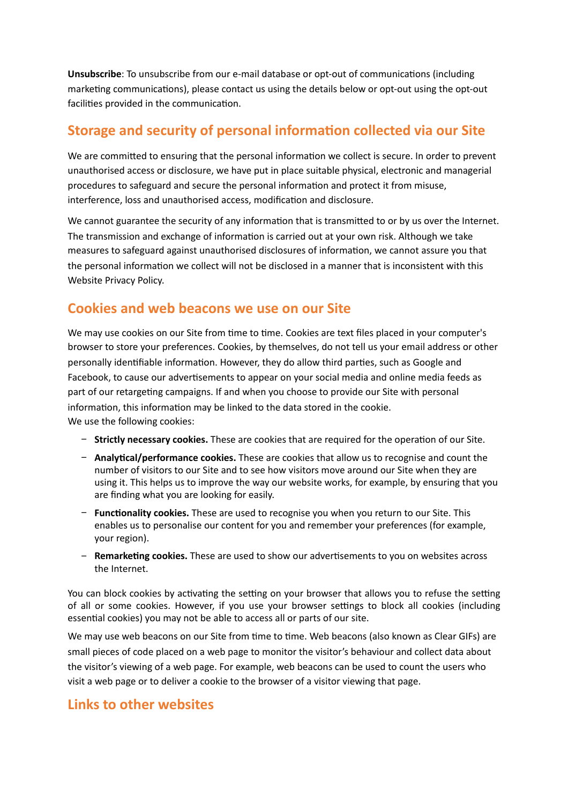**Unsubscribe**: To unsubscribe from our e-mail database or opt-out of communications (including marketing communications), please contact us using the details below or opt-out using the opt-out facilities provided in the communication.

# **Storage and security of personal information collected via our Site**

We are committed to ensuring that the personal information we collect is secure. In order to prevent unauthorised access or disclosure, we have put in place suitable physical, electronic and managerial procedures to safeguard and secure the personal information and protect it from misuse, interference, loss and unauthorised access, modification and disclosure.

We cannot guarantee the security of any information that is transmitted to or by us over the Internet. The transmission and exchange of information is carried out at your own risk. Although we take measures to safeguard against unauthorised disclosures of information, we cannot assure you that the personal information we collect will not be disclosed in a manner that is inconsistent with this Website Privacy Policy.

### **Cookies and web beacons we use on our Site**

We may use cookies on our Site from time to time. Cookies are text files placed in your computer's browser to store your preferences. Cookies, by themselves, do not tell us your email address or other personally identifiable information. However, they do allow third parties, such as Google and Facebook, to cause our advertisements to appear on your social media and online media feeds as part of our retargeting campaigns. If and when you choose to provide our Site with personal information, this information may be linked to the data stored in the cookie. We use the following cookies:

- **− Strictly necessary cookies.** These are cookies that are required for the operation of our Site.
- **− Analytical/performance cookies.** These are cookies that allow us to recognise and count the number of visitors to our Site and to see how visitors move around our Site when they are using it. This helps us to improve the way our website works, for example, by ensuring that you are finding what you are looking for easily.
- − **Functionality cookies.** These are used to recognise you when you return to our Site. This enables us to personalise our content for you and remember your preferences (for example, your region).
- − **Remarketing cookies.** These are used to show our advertisements to you on websites across the Internet.

You can block cookies by activating the setting on your browser that allows you to refuse the setting of all or some cookies. However, if you use your browser settings to block all cookies (including essential cookies) you may not be able to access all or parts of our site.

We may use web beacons on our Site from time to time. Web beacons (also known as Clear GIFs) are small pieces of code placed on a web page to monitor the visitor's behaviour and collect data about the visitor's viewing of a web page. For example, web beacons can be used to count the users who visit a web page or to deliver a cookie to the browser of a visitor viewing that page.

### **Links to other websites**